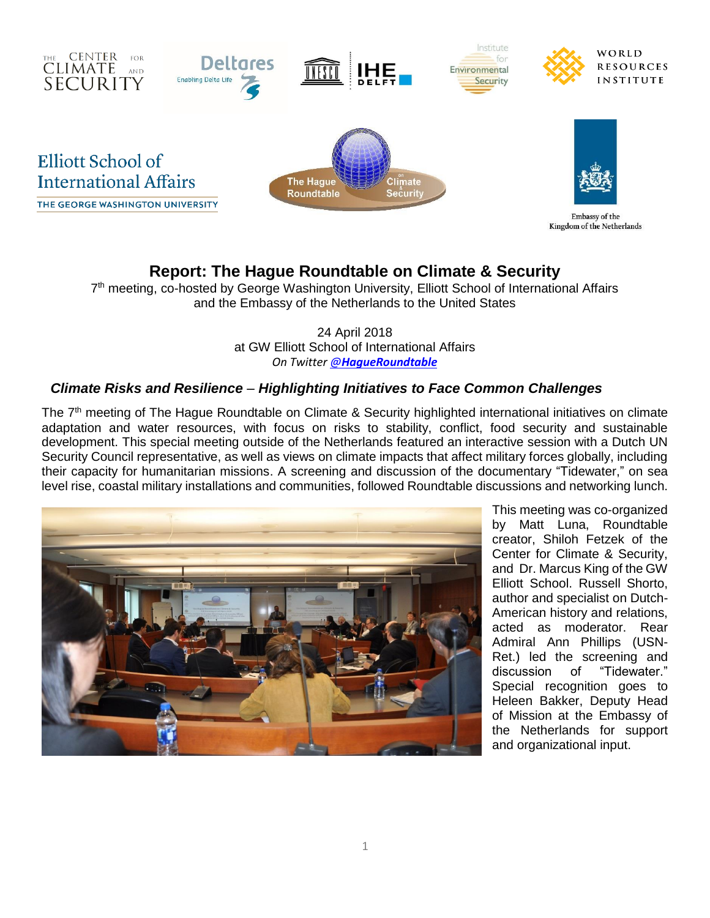

# **Report: The Hague Roundtable on Climate & Security**

7<sup>th</sup> meeting, co-hosted by George Washington University, Elliott School of International Affairs and the Embassy of the Netherlands to the United States

> 24 April 2018 at GW Elliott School of International Affairs *On Twitter @[HagueRoundtable](https://twitter.com/HagueRoundtable)*

### *Climate Risks and Resilience* – *Highlighting Initiatives to Face Common Challenges*

The 7<sup>th</sup> meeting of The Hague Roundtable on Climate & Security highlighted international initiatives on climate adaptation and water resources, with focus on risks to stability, conflict, food security and sustainable development. This special meeting outside of the Netherlands featured an interactive session with a Dutch UN Security Council representative, as well as views on climate impacts that affect military forces globally, including their capacity for humanitarian missions. A screening and discussion of the documentary "Tidewater," on sea level rise, coastal military installations and communities, followed Roundtable discussions and networking lunch.



This meeting was co-organized by Matt Luna, Roundtable creator, Shiloh Fetzek of the Center for Climate & Security, and Dr. Marcus King of the GW Elliott School. Russell Shorto, author and specialist on Dutch-American history and relations, acted as moderator. Rear Admiral Ann Phillips (USN-Ret.) led the screening and discussion of "Tidewater." Special recognition goes to Heleen Bakker, Deputy Head of Mission at the Embassy of the Netherlands for support and organizational input.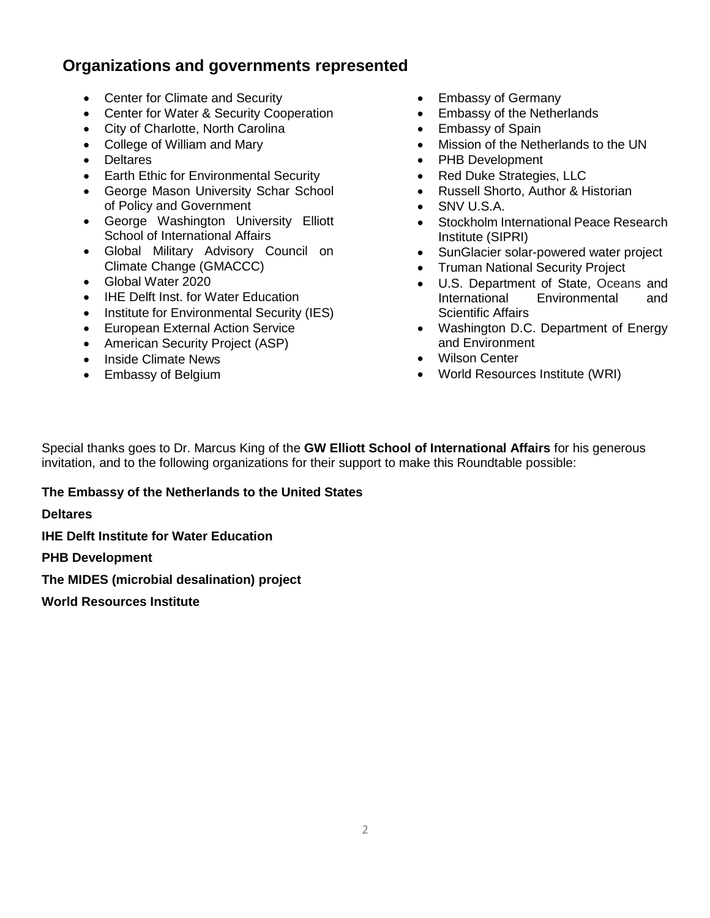## **Organizations and governments represented**

- Center for Climate and Security
- Center for Water & Security Cooperation
- City of Charlotte, North Carolina
- College of William and Mary
- Deltares
- Earth Ethic for Environmental Security
- **George Mason University Schar School** of Policy and Government
- George Washington University Elliott School of International Affairs
- Global Military Advisory Council on Climate Change (GMACCC)
- Global Water 2020
- IHE Delft Inst. for Water Education
- Institute for Environmental Security (IES)
- European External Action Service
- American Security Project (ASP)
- Inside Climate News
- Embassy of Belgium
- Embassy of Germany
- Embassy of the Netherlands
- Embassy of Spain
- Mission of the Netherlands to the UN
- PHB Development
- Red Duke Strategies, LLC
- Russell Shorto, Author & Historian
- SNV U.S.A.
- Stockholm International Peace Research Institute (SIPRI)
- SunGlacier solar-powered water project
- Truman National Security Project
- U.S. Department of State, Oceans and International Environmental and Scientific Affairs
- Washington D.C. Department of Energy and Environment
- Wilson Center
- World Resources Institute (WRI)

Special thanks goes to Dr. Marcus King of the **GW Elliott School of International Affairs** for his generous invitation, and to the following organizations for their support to make this Roundtable possible:

### **The Embassy of the Netherlands to the United States**

### **Deltares**

**IHE Delft Institute for Water Education**

**PHB Development**

**The MIDES (microbial desalination) project**

**World Resources Institute**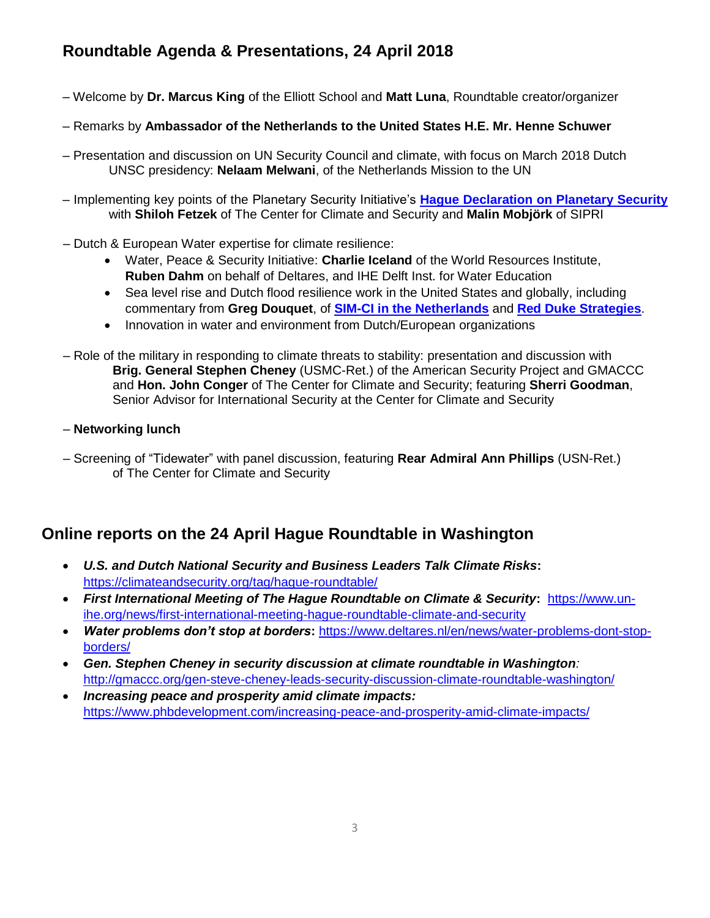# **Roundtable Agenda & Presentations, 24 April 2018**

- Welcome by **Dr. Marcus King** of the Elliott School and **Matt Luna**, Roundtable creator/organizer
- Remarks by **Ambassador of the Netherlands to the United States H.E. Mr. Henne Schuwer**
- Presentation and discussion on UN Security Council and climate, with focus on March 2018 Dutch UNSC presidency: **Nelaam Melwani**, of the Netherlands Mission to the UN
- Implementing key points of the Planetary Security Initiative's **[Hague Declaration on Planetary Security](https://www.planetarysecurityinitiative.org/signees)** with **Shiloh Fetzek** of The Center for Climate and Security and **Malin Mobjörk** of SIPRI
- Dutch & European Water expertise for climate resilience:
	- Water, Peace & Security Initiative: **Charlie Iceland** of the World Resources Institute, **Ruben Dahm** on behalf of Deltares, and IHE Delft Inst. for Water Education
	- Sea level rise and Dutch flood resilience work in the United States and globally, including commentary from **Greg Douquet**, of **SIM-CI [in the Netherlands](https://www.sim-ci.com/)** and **[Red Duke Strategies](https://www.reddukestrategies.net/)**.
	- Innovation in water and environment from Dutch/European organizations
- Role of the military in responding to climate threats to stability: presentation and discussion with **Brig. General Stephen Cheney** (USMC-Ret.) of the American Security Project and GMACCC and **Hon. John Conger** of The Center for Climate and Security; featuring **Sherri Goodman**, Senior Advisor for International Security at the Center for Climate and Security
- **Networking lunch**
- Screening of "Tidewater" with panel discussion, featuring **Rear Admiral Ann Phillips** (USN-Ret.) of The Center for Climate and Security

## **Online reports on the 24 April Hague Roundtable in Washington**

- *U.S. and Dutch National Security and Business Leaders Talk Climate Risks***:** <https://climateandsecurity.org/tag/hague-roundtable/>
- *First International Meeting of The Hague Roundtable on Climate & Security***:** [https://www.un](https://www.un-ihe.org/news/first-international-meeting-hague-roundtable-climate-and-security)[ihe.org/news/first-international-meeting-hague-roundtable-climate-and-security](https://www.un-ihe.org/news/first-international-meeting-hague-roundtable-climate-and-security)
- *Water problems don't stop at borders***:** [https://www.deltares.nl/en/news/water-problems-dont-stop](https://www.deltares.nl/en/news/water-problems-dont-stop-borders/)[borders/](https://www.deltares.nl/en/news/water-problems-dont-stop-borders/)
- *Gen. Stephen Cheney in security discussion at climate roundtable in Washington:* <http://gmaccc.org/gen-steve-cheney-leads-security-discussion-climate-roundtable-washington/>
- *Increasing peace and prosperity amid climate impacts:*  <https://www.phbdevelopment.com/increasing-peace-and-prosperity-amid-climate-impacts/>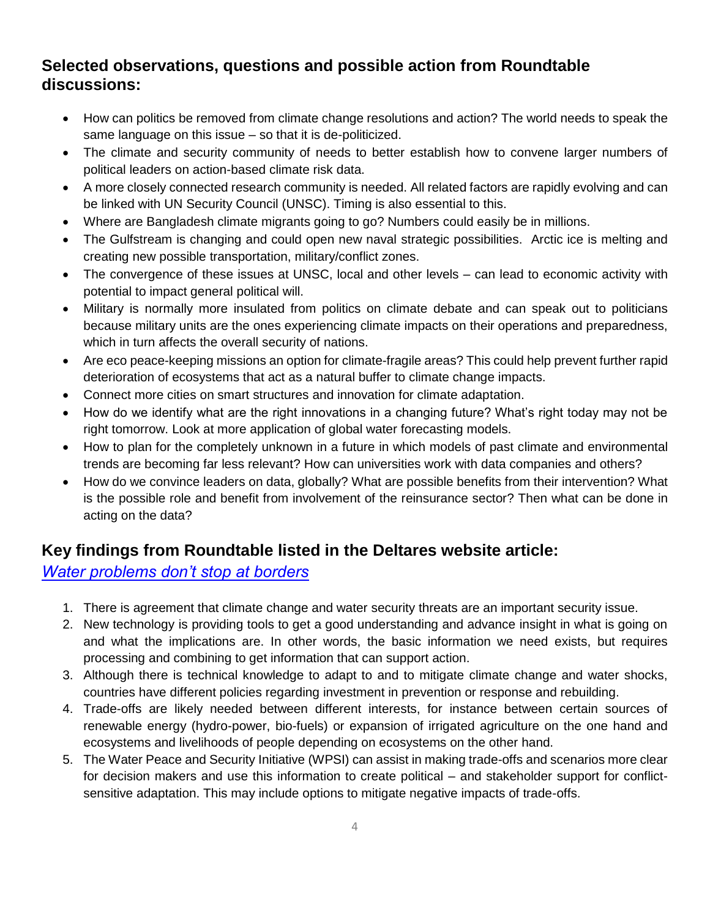# **Selected observations, questions and possible action from Roundtable discussions:**

- How can politics be removed from climate change resolutions and action? The world needs to speak the same language on this issue – so that it is de-politicized.
- The climate and security community of needs to better establish how to convene larger numbers of political leaders on action-based climate risk data.
- A more closely connected research community is needed. All related factors are rapidly evolving and can be linked with UN Security Council (UNSC). Timing is also essential to this.
- Where are Bangladesh climate migrants going to go? Numbers could easily be in millions.
- The Gulfstream is changing and could open new naval strategic possibilities. Arctic ice is melting and creating new possible transportation, military/conflict zones.
- The convergence of these issues at UNSC, local and other levels can lead to economic activity with potential to impact general political will.
- Military is normally more insulated from politics on climate debate and can speak out to politicians because military units are the ones experiencing climate impacts on their operations and preparedness, which in turn affects the overall security of nations.
- Are eco peace-keeping missions an option for climate-fragile areas? This could help prevent further rapid deterioration of ecosystems that act as a natural buffer to climate change impacts.
- Connect more cities on smart structures and innovation for climate adaptation.
- How do we identify what are the right innovations in a changing future? What's right today may not be right tomorrow. Look at more application of global water forecasting models.
- How to plan for the completely unknown in a future in which models of past climate and environmental trends are becoming far less relevant? How can universities work with data companies and others?
- How do we convince leaders on data, globally? What are possible benefits from their intervention? What is the possible role and benefit from involvement of the reinsurance sector? Then what can be done in acting on the data?

# **Key findings from Roundtable listed in the Deltares website article:**

*[Water problems don't stop at borders](https://www.deltares.nl/en/news/water-problems-dont-stop-borders/)*

- 1. There is agreement that climate change and water security threats are an important security issue.
- 2. New technology is providing tools to get a good understanding and advance insight in what is going on and what the implications are. In other words, the basic information we need exists, but requires processing and combining to get information that can support action.
- 3. Although there is technical knowledge to adapt to and to mitigate climate change and water shocks, countries have different policies regarding investment in prevention or response and rebuilding.
- 4. Trade-offs are likely needed between different interests, for instance between certain sources of renewable energy (hydro-power, bio-fuels) or expansion of irrigated agriculture on the one hand and ecosystems and livelihoods of people depending on ecosystems on the other hand.
- 5. The Water Peace and Security Initiative (WPSI) can assist in making trade-offs and scenarios more clear for decision makers and use this information to create political – and stakeholder support for conflictsensitive adaptation. This may include options to mitigate negative impacts of trade-offs.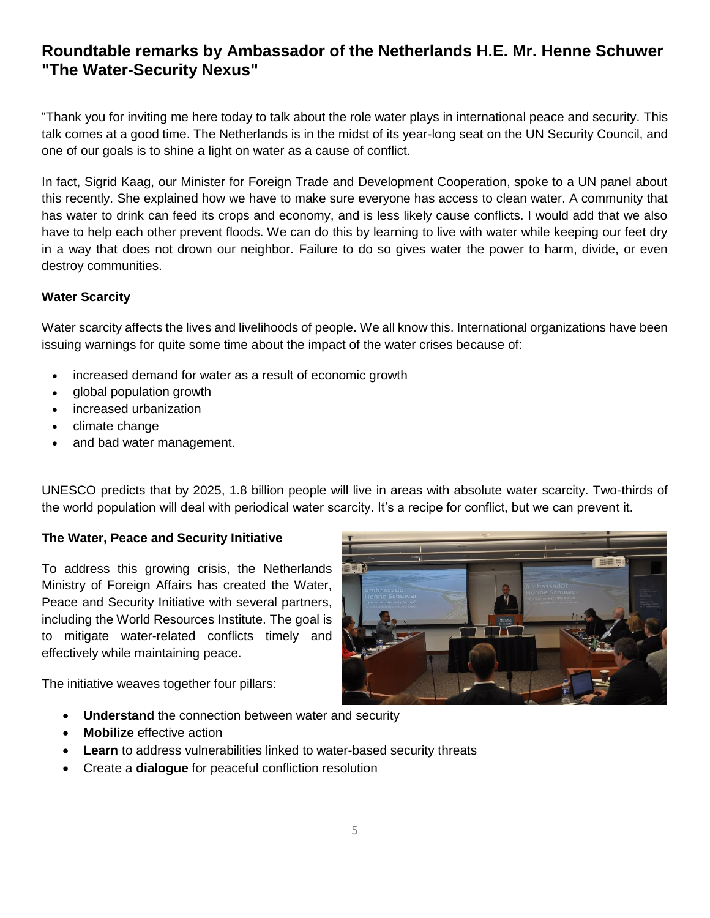## **Roundtable remarks by Ambassador of the Netherlands H.E. Mr. Henne Schuwer "The Water-Security Nexus"**

"Thank you for inviting me here today to talk about the role water plays in international peace and security. This talk comes at a good time. The Netherlands is in the midst of its year-long seat on the UN Security Council, and one of our goals is to shine a light on water as a cause of conflict.

In fact, Sigrid Kaag, our Minister for Foreign Trade and Development Cooperation, spoke to a UN panel about this recently. She explained how we have to make sure everyone has access to clean water. A community that has water to drink can feed its crops and economy, and is less likely cause conflicts. I would add that we also have to help each other prevent floods. We can do this by learning to live with water while keeping our feet dry in a way that does not drown our neighbor. Failure to do so gives water the power to harm, divide, or even destroy communities.

### **Water Scarcity**

Water scarcity affects the lives and livelihoods of people. We all know this. International organizations have been issuing warnings for quite some time about the impact of the water crises because of:

- increased demand for water as a result of economic growth
- global population growth
- increased urbanization
- climate change
- and bad water management.

UNESCO predicts that by 2025, 1.8 billion people will live in areas with absolute water scarcity. Two-thirds of the world population will deal with periodical water scarcity. It's a recipe for conflict, but we can prevent it.

### **The Water, Peace and Security Initiative**

To address this growing crisis, the Netherlands Ministry of Foreign Affairs has created the Water, Peace and Security Initiative with several partners, including the World Resources Institute. The goal is to mitigate water-related conflicts timely and effectively while maintaining peace.

The initiative weaves together four pillars:

- **Understand** the connection between water and security
- **Mobilize** effective action
- **Learn** to address vulnerabilities linked to water-based security threats
- Create a **dialogue** for peaceful confliction resolution

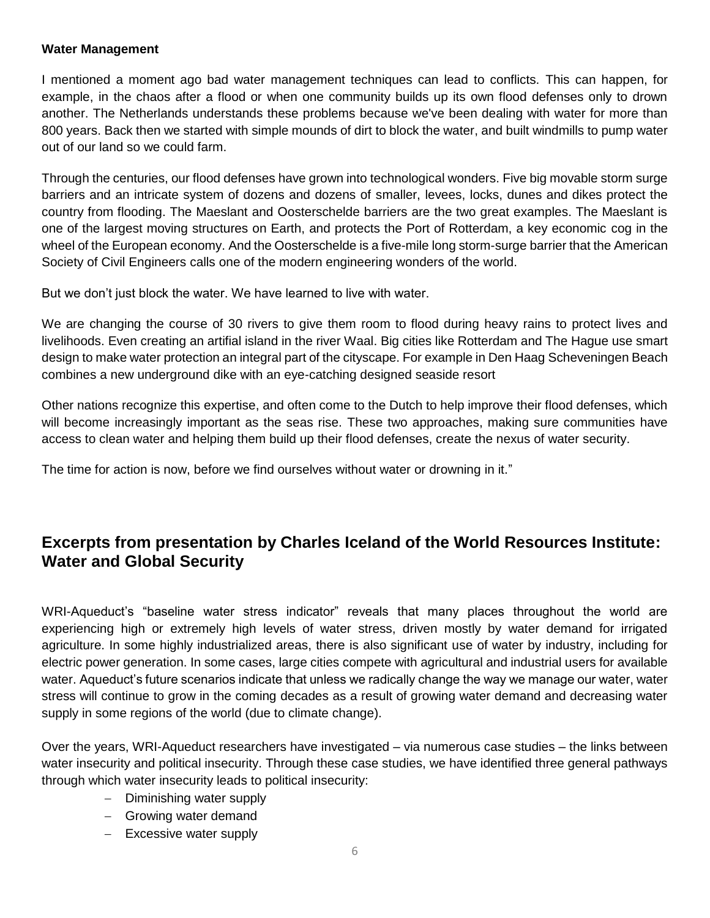#### **Water Management**

I mentioned a moment ago bad water management techniques can lead to conflicts. This can happen, for example, in the chaos after a flood or when one community builds up its own flood defenses only to drown another. The Netherlands understands these problems because we've been dealing with water for more than 800 years. Back then we started with simple mounds of dirt to block the water, and built windmills to pump water out of our land so we could farm.

Through the centuries, our flood defenses have grown into technological wonders. Five big movable storm surge barriers and an intricate system of dozens and dozens of smaller, levees, locks, dunes and dikes protect the country from flooding. The Maeslant and Oosterschelde barriers are the two great examples. The Maeslant is one of the largest moving structures on Earth, and protects the Port of Rotterdam, a key economic cog in the wheel of the European economy. And the Oosterschelde is a five-mile long storm-surge barrier that the American Society of Civil Engineers calls one of the modern engineering wonders of the world.

But we don't just block the water. We have learned to live with water.

We are changing the course of 30 rivers to give them room to flood during heavy rains to protect lives and livelihoods. Even creating an artifial island in the river Waal. Big cities like Rotterdam and The Hague use smart design to make water protection an integral part of the cityscape. For example in Den Haag Scheveningen Beach combines a new underground dike with an eye-catching designed seaside resort

Other nations recognize this expertise, and often come to the Dutch to help improve their flood defenses, which will become increasingly important as the seas rise. These two approaches, making sure communities have access to clean water and helping them build up their flood defenses, create the nexus of water security.

The time for action is now, before we find ourselves without water or drowning in it."

## **Excerpts from presentation by Charles Iceland of the World Resources Institute: Water and Global Security**

WRI-Aqueduct's "baseline water stress indicator" reveals that many places throughout the world are experiencing high or extremely high levels of water stress, driven mostly by water demand for irrigated agriculture. In some highly industrialized areas, there is also significant use of water by industry, including for electric power generation. In some cases, large cities compete with agricultural and industrial users for available water. Aqueduct's future scenarios indicate that unless we radically change the way we manage our water, water stress will continue to grow in the coming decades as a result of growing water demand and decreasing water supply in some regions of the world (due to climate change).

Over the years, WRI-Aqueduct researchers have investigated – via numerous case studies – the links between water insecurity and political insecurity. Through these case studies, we have identified three general pathways through which water insecurity leads to political insecurity:

- Diminishing water supply
- Growing water demand
- $-$  Excessive water supply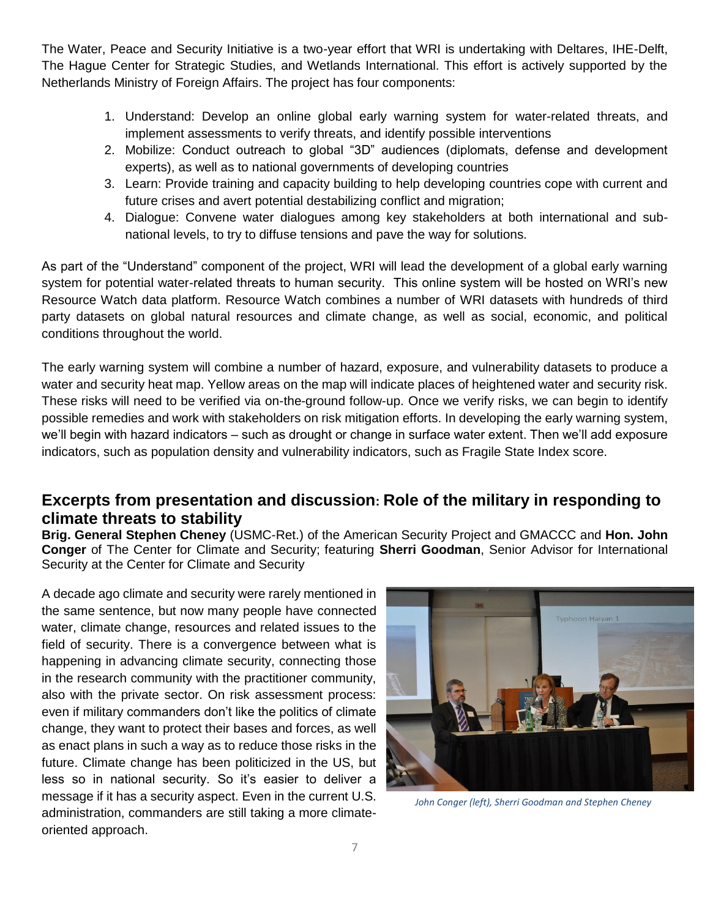The Water, Peace and Security Initiative is a two-year effort that WRI is undertaking with Deltares, IHE-Delft, The Hague Center for Strategic Studies, and Wetlands International. This effort is actively supported by the Netherlands Ministry of Foreign Affairs. The project has four components:

- 1. Understand: Develop an online global early warning system for water-related threats, and implement assessments to verify threats, and identify possible interventions
- 2. Mobilize: Conduct outreach to global "3D" audiences (diplomats, defense and development experts), as well as to national governments of developing countries
- 3. Learn: Provide training and capacity building to help developing countries cope with current and future crises and avert potential destabilizing conflict and migration;
- 4. Dialogue: Convene water dialogues among key stakeholders at both international and subnational levels, to try to diffuse tensions and pave the way for solutions.

As part of the "Understand" component of the project, WRI will lead the development of a global early warning system for potential water-related threats to human security. This online system will be hosted on WRI's new Resource Watch data platform. Resource Watch combines a number of WRI datasets with hundreds of third party datasets on global natural resources and climate change, as well as social, economic, and political conditions throughout the world.

The early warning system will combine a number of hazard, exposure, and vulnerability datasets to produce a water and security heat map. Yellow areas on the map will indicate places of heightened water and security risk. These risks will need to be verified via on-the-ground follow-up. Once we verify risks, we can begin to identify possible remedies and work with stakeholders on risk mitigation efforts. In developing the early warning system, we'll begin with hazard indicators – such as drought or change in surface water extent. Then we'll add exposure indicators, such as population density and vulnerability indicators, such as Fragile State Index score.

## **Excerpts from presentation and discussion: Role of the military in responding to climate threats to stability**

**Brig. General Stephen Cheney** (USMC-Ret.) of the American Security Project and GMACCC and **Hon. John Conger** of The Center for Climate and Security; featuring **Sherri Goodman**, Senior Advisor for International Security at the Center for Climate and Security

A decade ago climate and security were rarely mentioned in the same sentence, but now many people have connected water, climate change, resources and related issues to the field of security. There is a convergence between what is happening in advancing climate security, connecting those in the research community with the practitioner community, also with the private sector. On risk assessment process: even if military commanders don't like the politics of climate change, they want to protect their bases and forces, as well as enact plans in such a way as to reduce those risks in the future. Climate change has been politicized in the US, but less so in national security. So it's easier to deliver a message if it has a security aspect. Even in the current U.S. administration, commanders are still taking a more climateoriented approach.



 *John Conger (left), Sherri Goodman and Stephen Cheney*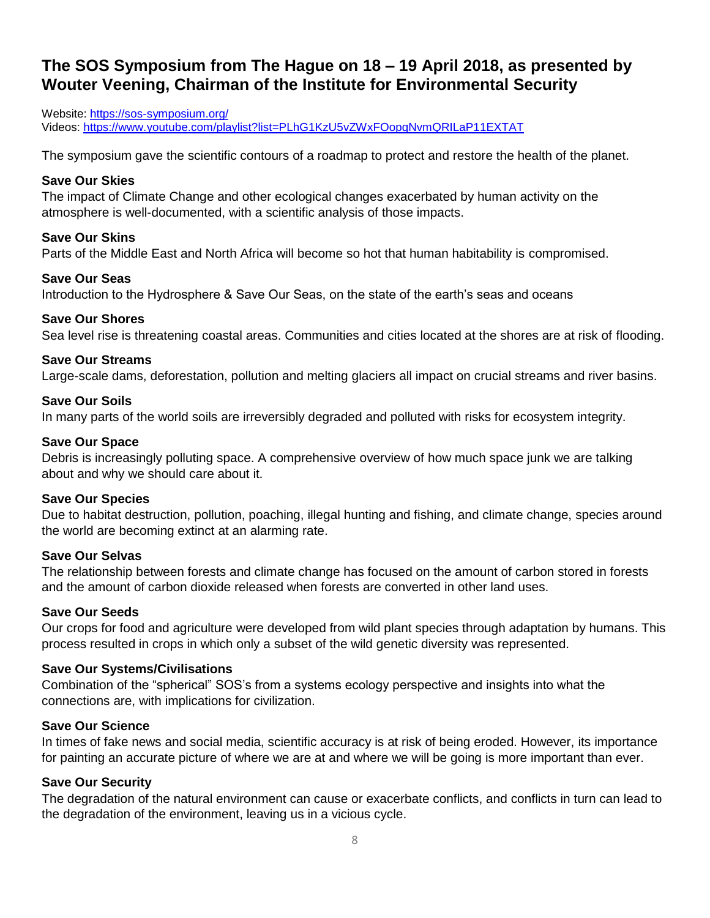# **The SOS Symposium from The Hague on 18 – 19 April 2018, as presented by Wouter Veening, Chairman of the Institute for Environmental Security**

Website:<https://sos-symposium.org/> Videos:<https://www.youtube.com/playlist?list=PLhG1KzU5vZWxFOopqNvmQRILaP11EXTAT>

The symposium gave the scientific contours of a roadmap to protect and restore the health of the planet.

### **[Save Our Skies](https://sos-symposium.org/session/save-our-skies/)**

The impact of Climate Change and other ecological changes exacerbated by human activity on the atmosphere is well-documented, with a scientific analysis of those impacts.

### **[Save Our Skins](https://sos-symposium.org/session/save-our-skins/)**

Parts of the Middle East and North Africa will become so hot that human habitability is compromised.

#### **[Save Our Seas](https://sos-symposium.org/session/save-our-seas/)**

Introduction to the Hydrosphere & Save Our Seas, on the state of the earth's seas and oceans

#### **[Save Our Shores](https://sos-symposium.org/session/save-our-shores/)**

Sea level rise is threatening coastal areas. Communities and cities located at the shores are at risk of flooding.

#### **[Save Our Streams](https://sos-symposium.org/session/save-our-streams/)**

Large-scale dams, deforestation, pollution and melting glaciers all impact on crucial streams and river basins.

#### **[Save Our Soils](https://sos-symposium.org/session/save-our-soils/)**

In many parts of the world soils are irreversibly degraded and polluted with risks for ecosystem integrity.

#### **[Save Our Space](https://sos-symposium.org/session/save-our-space/)**

Debris is increasingly polluting space. A comprehensive overview of how much space junk we are talking about and why we should care about it.

#### **[Save Our Species](https://sos-symposium.org/session/save-our-species/)**

Due to habitat destruction, pollution, poaching, illegal hunting and fishing, and climate change, species around the world are becoming extinct at an alarming rate.

#### **[Save Our Selvas](https://sos-symposium.org/session/save-our-selvas/)**

The relationship between forests and climate change has focused on the amount of carbon stored in forests and the amount of carbon dioxide released when forests are converted in other land uses.

#### **[Save Our Seeds](https://sos-symposium.org/session/save-our-seeds/)**

Our crops for food and agriculture were developed from wild plant species through adaptation by humans. This process resulted in crops in which only a subset of the wild genetic diversity was represented.

#### **[Save Our Systems/Civilisations](https://sos-symposium.org/session/save-our-systems/)**

Combination of the "spherical" SOS's from a systems ecology perspective and insights into what the connections are, with implications for civilization.

#### **[Save Our Science](https://sos-symposium.org/session/save-our-science/)**

In times of fake news and social media, scientific accuracy is at risk of being eroded. However, its importance for painting an accurate picture of where we are at and where we will be going is more important than ever.

### **[Save Our Security](https://sos-symposium.org/session/save-our-security/)**

The degradation of the natural environment can cause or exacerbate conflicts, and conflicts in turn can lead to the degradation of the environment, leaving us in a vicious cycle.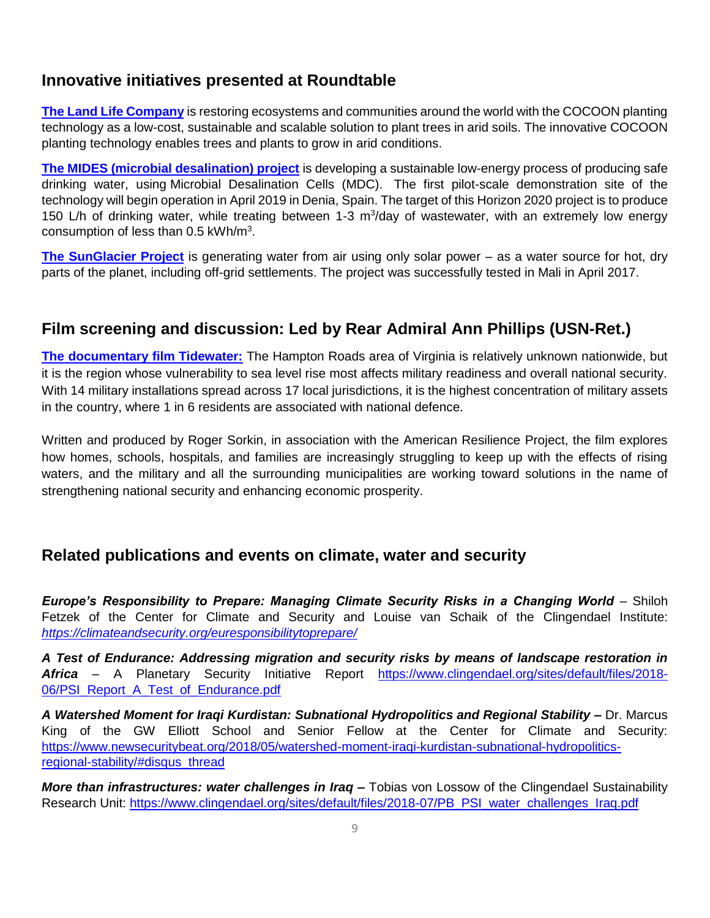## **Innovative initiatives presented at Roundtable**

**[The Land Life Company](https://www.landlifecompany.com/)** is restoring ecosystems and communities around the world with the COCOON planting technology as a low-cost, sustainable and scalable solution to plant trees in arid soils. The innovative COCOON planting technology enables trees and plants to grow in arid conditions.

**[The MIDES \(microbial desalination\) project](http://midesh2020.eu/)** is developing a sustainable low-energy process of producing safe drinking water, using Microbial Desalination Cells (MDC). The first pilot-scale demonstration site of the technology will begin operation in April 2019 in Denia, Spain. The target of this Horizon 2020 project is to produce 150 L/h of drinking water, while treating between 1-3 m<sup>3</sup>/day of wastewater, with an extremely low energy consumption of less than 0.5 kWh/m<sup>3</sup>.

**[The SunGlacier Project](http://sunglacier.com/)** is generating water from air using only solar power – as a water source for hot, dry parts of the planet, including off-grid settlements. The project was successfully tested in Mali in April 2017.

## **Film screening and discussion: Led by Rear Admiral Ann Phillips (USN-Ret.)**

**[The documentary film Tidewater:](https://www.amresproject.org/tidewater-film/)** The Hampton Roads area of Virginia is relatively unknown nationwide, but it is the region whose vulnerability to sea level rise most affects military readiness and overall national security. With 14 military installations spread across 17 local jurisdictions, it is the highest concentration of military assets in the country, where 1 in 6 residents are associated with national defence.

Written and produced by Roger Sorkin, in association with the American Resilience Project, the film explores how homes, schools, hospitals, and families are increasingly struggling to keep up with the effects of rising waters, and the military and all the surrounding municipalities are working toward solutions in the name of strengthening national security and enhancing economic prosperity.

### **Related publications and events on climate, water and security**

*Europe's Responsibility to Prepare: Managing Climate Security Risks in a Changing World – Shiloh* Fetzek of the Center for Climate and Security and Louise van Schaik of the Clingendael Institute: *<https://climateandsecurity.org/euresponsibilitytoprepare/>*

*A Test of Endurance: Addressing migration and security risks by means of landscape restoration in Africa* – A Planetary Security Initiative Report [https://www.clingendael.org/sites/default/files/2018-](https://www.clingendael.org/sites/default/files/2018-06/PSI_Report_A_Test_of_Endurance.pdf) [06/PSI\\_Report\\_A\\_Test\\_of\\_Endurance.pdf](https://www.clingendael.org/sites/default/files/2018-06/PSI_Report_A_Test_of_Endurance.pdf)

*A Watershed Moment for Iraqi Kurdistan: Subnational Hydropolitics and Regional Stability* **–** Dr. Marcus King of the GW Elliott School and Senior Fellow at the Center for Climate and Security: [https://www.newsecuritybeat.org/2018/05/watershed-moment-iraqi-kurdistan-subnational-hydropolitics](https://www.newsecuritybeat.org/2018/05/watershed-moment-iraqi-kurdistan-subnational-hydropolitics-regional-stability/#disqus_thread)[regional-stability/#disqus\\_thread](https://www.newsecuritybeat.org/2018/05/watershed-moment-iraqi-kurdistan-subnational-hydropolitics-regional-stability/#disqus_thread)

*More than infrastructures: water challenges in Iraq –* Tobias von Lossow of the Clingendael Sustainability Research Unit: [https://www.clingendael.org/sites/default/files/2018-07/PB\\_PSI\\_water\\_challenges\\_Iraq.pdf](https://www.clingendael.org/sites/default/files/2018-07/PB_PSI_water_challenges_Iraq.pdf)